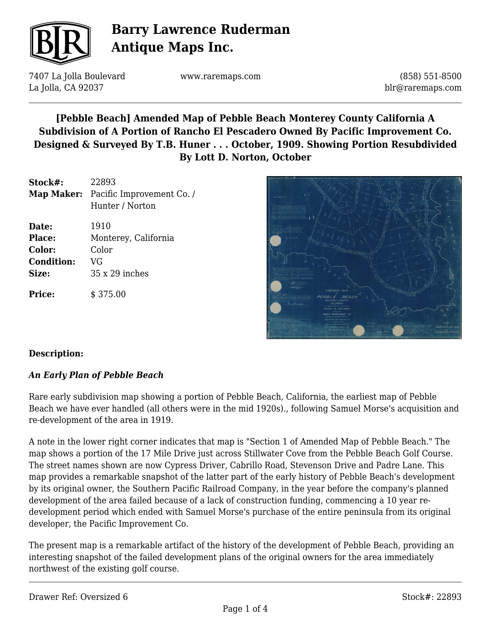

7407 La Jolla Boulevard La Jolla, CA 92037

www.raremaps.com

(858) 551-8500 blr@raremaps.com

### **[Pebble Beach] Amended Map of Pebble Beach Monterey County California A Subdivision of A Portion of Rancho El Pescadero Owned By Pacific Improvement Co. Designed & Surveyed By T.B. Huner . . . October, 1909. Showing Portion Resubdivided By Lott D. Norton, October**

| Stock#:<br>Map Maker:                                   | 22893<br>Pacific Improvement Co. /<br>Hunter / Norton                |
|---------------------------------------------------------|----------------------------------------------------------------------|
| Date:<br>Place:<br>Color:<br><b>Condition:</b><br>Size: | 1910<br>Monterey, California<br>Color<br>VG<br>$35 \times 29$ inches |
| Price:                                                  | \$375.00                                                             |



#### **Description:**

#### *An Early Plan of Pebble Beach*

Rare early subdivision map showing a portion of Pebble Beach, California, the earliest map of Pebble Beach we have ever handled (all others were in the mid 1920s)., following Samuel Morse's acquisition and re-development of the area in 1919.

A note in the lower right corner indicates that map is "Section 1 of Amended Map of Pebble Beach." The map shows a portion of the 17 Mile Drive just across Stillwater Cove from the Pebble Beach Golf Course. The street names shown are now Cypress Driver, Cabrillo Road, Stevenson Drive and Padre Lane. This map provides a remarkable snapshot of the latter part of the early history of Pebble Beach's development by its original owner, the Southern Pacific Railroad Company, in the year before the company's planned development of the area failed because of a lack of construction funding, commencing a 10 year redevelopment period which ended with Samuel Morse's purchase of the entire peninsula from its original developer, the Pacific Improvement Co.

The present map is a remarkable artifact of the history of the development of Pebble Beach, providing an interesting snapshot of the failed development plans of the original owners for the area immediately northwest of the existing golf course.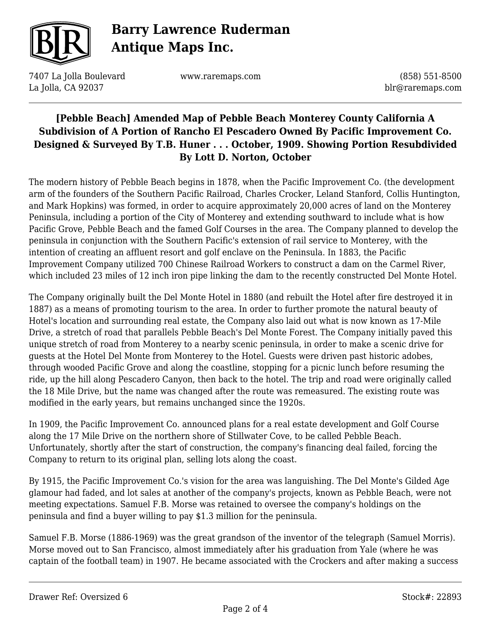

7407 La Jolla Boulevard La Jolla, CA 92037

www.raremaps.com

(858) 551-8500 blr@raremaps.com

#### **[Pebble Beach] Amended Map of Pebble Beach Monterey County California A Subdivision of A Portion of Rancho El Pescadero Owned By Pacific Improvement Co. Designed & Surveyed By T.B. Huner . . . October, 1909. Showing Portion Resubdivided By Lott D. Norton, October**

The modern history of Pebble Beach begins in 1878, when the Pacific Improvement Co. (the development arm of the founders of the Southern Pacific Railroad, Charles Crocker, Leland Stanford, Collis Huntington, and Mark Hopkins) was formed, in order to acquire approximately 20,000 acres of land on the Monterey Peninsula, including a portion of the City of Monterey and extending southward to include what is how Pacific Grove, Pebble Beach and the famed Golf Courses in the area. The Company planned to develop the peninsula in conjunction with the Southern Pacific's extension of rail service to Monterey, with the intention of creating an affluent resort and golf enclave on the Peninsula. In 1883, the Pacific Improvement Company utilized 700 Chinese Railroad Workers to construct a dam on the Carmel River, which included 23 miles of 12 inch iron pipe linking the dam to the recently constructed Del Monte Hotel.

The Company originally built the Del Monte Hotel in 1880 (and rebuilt the Hotel after fire destroyed it in 1887) as a means of promoting tourism to the area. In order to further promote the natural beauty of Hotel's location and surrounding real estate, the Company also laid out what is now known as 17-Mile Drive, a stretch of road that parallels Pebble Beach's Del Monte Forest. The Company initially paved this unique stretch of road from Monterey to a nearby scenic peninsula, in order to make a scenic drive for guests at the Hotel Del Monte from Monterey to the Hotel. Guests were driven past historic adobes, through wooded Pacific Grove and along the coastline, stopping for a picnic lunch before resuming the ride, up the hill along Pescadero Canyon, then back to the hotel. The trip and road were originally called the 18 Mile Drive, but the name was changed after the route was remeasured. The existing route was modified in the early years, but remains unchanged since the 1920s.

In 1909, the Pacific Improvement Co. announced plans for a real estate development and Golf Course along the 17 Mile Drive on the northern shore of Stillwater Cove, to be called Pebble Beach. Unfortunately, shortly after the start of construction, the company's financing deal failed, forcing the Company to return to its original plan, selling lots along the coast.

By 1915, the Pacific Improvement Co.'s vision for the area was languishing. The Del Monte's Gilded Age glamour had faded, and lot sales at another of the company's projects, known as Pebble Beach, were not meeting expectations. Samuel F.B. Morse was retained to oversee the company's holdings on the peninsula and find a buyer willing to pay \$1.3 million for the peninsula.

Samuel F.B. Morse (1886-1969) was the great grandson of the inventor of the telegraph (Samuel Morris). Morse moved out to San Francisco, almost immediately after his graduation from Yale (where he was captain of the football team) in 1907. He became associated with the Crockers and after making a success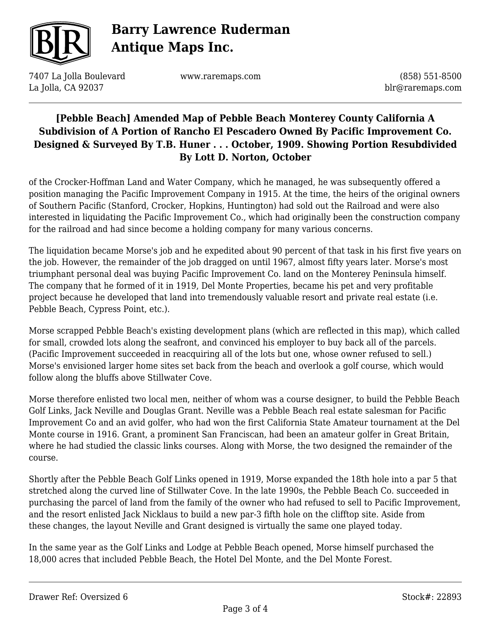

7407 La Jolla Boulevard La Jolla, CA 92037

www.raremaps.com

(858) 551-8500 blr@raremaps.com

#### **[Pebble Beach] Amended Map of Pebble Beach Monterey County California A Subdivision of A Portion of Rancho El Pescadero Owned By Pacific Improvement Co. Designed & Surveyed By T.B. Huner . . . October, 1909. Showing Portion Resubdivided By Lott D. Norton, October**

of the Crocker-Hoffman Land and Water Company, which he managed, he was subsequently offered a position managing the Pacific Improvement Company in 1915. At the time, the heirs of the original owners of Southern Pacific (Stanford, Crocker, Hopkins, Huntington) had sold out the Railroad and were also interested in liquidating the Pacific Improvement Co., which had originally been the construction company for the railroad and had since become a holding company for many various concerns.

The liquidation became Morse's job and he expedited about 90 percent of that task in his first five years on the job. However, the remainder of the job dragged on until 1967, almost fifty years later. Morse's most triumphant personal deal was buying Pacific Improvement Co. land on the Monterey Peninsula himself. The company that he formed of it in 1919, Del Monte Properties, became his pet and very profitable project because he developed that land into tremendously valuable resort and private real estate (i.e. Pebble Beach, Cypress Point, etc.).

Morse scrapped Pebble Beach's existing development plans (which are reflected in this map), which called for small, crowded lots along the seafront, and convinced his employer to buy back all of the parcels. (Pacific Improvement succeeded in reacquiring all of the lots but one, whose owner refused to sell.) Morse's envisioned larger home sites set back from the beach and overlook a golf course, which would follow along the bluffs above Stillwater Cove.

Morse therefore enlisted two local men, neither of whom was a course designer, to build the Pebble Beach Golf Links, Jack Neville and Douglas Grant. Neville was a Pebble Beach real estate salesman for Pacific Improvement Co and an avid golfer, who had won the first California State Amateur tournament at the Del Monte course in 1916. Grant, a prominent San Franciscan, had been an amateur golfer in Great Britain, where he had studied the classic links courses. Along with Morse, the two designed the remainder of the course.

Shortly after the Pebble Beach Golf Links opened in 1919, Morse expanded the 18th hole into a par 5 that stretched along the curved line of Stillwater Cove. In the late 1990s, the Pebble Beach Co. succeeded in purchasing the parcel of land from the family of the owner who had refused to sell to Pacific Improvement, and the resort enlisted Jack Nicklaus to build a new par-3 fifth hole on the clifftop site. Aside from these changes, the layout Neville and Grant designed is virtually the same one played today.

In the same year as the Golf Links and Lodge at Pebble Beach opened, Morse himself purchased the 18,000 acres that included Pebble Beach, the Hotel Del Monte, and the Del Monte Forest.